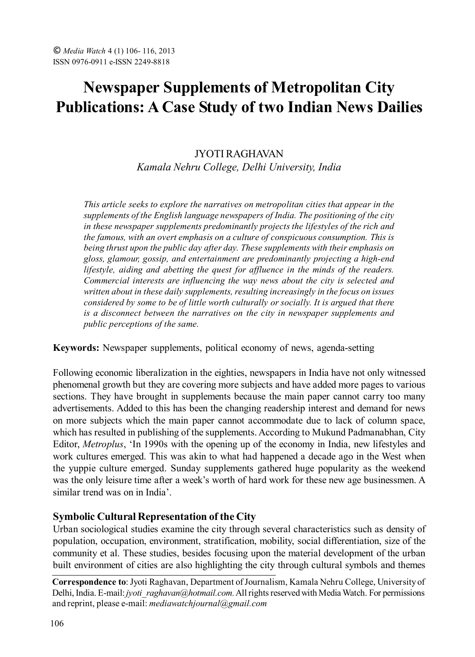# **Newspaper Supplements of Metropolitan City Publications: A Case Study of two Indian News Dailies**

## JYOTI RAGHAVAN *Kamala Nehru College, Delhi University, India*

*This article seeks to explore the narratives on metropolitan cities that appear in the supplements of the English language newspapers of India. The positioning of the city in these newspaper supplements predominantly projects the lifestyles of the rich and the famous, with an overt emphasis on a culture of conspicuous consumption. This is being thrust upon the public day after day. These supplements with their emphasis on gloss, glamour, gossip, and entertainment are predominantly projecting a high-end lifestyle, aiding and abetting the quest for affluence in the minds of the readers. Commercial interests are influencing the way news about the city is selected and written about in these daily supplements, resulting increasingly in the focus on issues considered by some to be of little worth culturally or socially. It is argued that there is a disconnect between the narratives on the city in newspaper supplements and public perceptions of the same.*

**Keywords:** Newspaper supplements, political economy of news, agenda-setting

Following economic liberalization in the eighties, newspapers in India have not only witnessed phenomenal growth but they are covering more subjects and have added more pages to various sections. They have brought in supplements because the main paper cannot carry too many advertisements. Added to this has been the changing readership interest and demand for news on more subjects which the main paper cannot accommodate due to lack of column space, which has resulted in publishing of the supplements. According to Mukund Padmanabhan, City Editor, *Metroplus*, 'In 1990s with the opening up of the economy in India, new lifestyles and work cultures emerged. This was akin to what had happened a decade ago in the West when the yuppie culture emerged. Sunday supplements gathered huge popularity as the weekend was the only leisure time after a week's worth of hard work for these new age businessmen. A similar trend was on in India'.

## **Symbolic Cultural Representation of the City**

Urban sociological studies examine the city through several characteristics such as density of population, occupation, environment, stratification, mobility, social differentiation, size of the community et al. These studies, besides focusing upon the material development of the urban built environment of cities are also highlighting the city through cultural symbols and themes

**Correspondence to**: Jyoti Raghavan, Department of Journalism, Kamala Nehru College, University of Delhi, India. E-mail: *jyoti\_raghavan@hotmail.com.* All rights reserved with Media Watch. For permissions and reprint, please e-mail: *mediawatchjournal@gmail.com*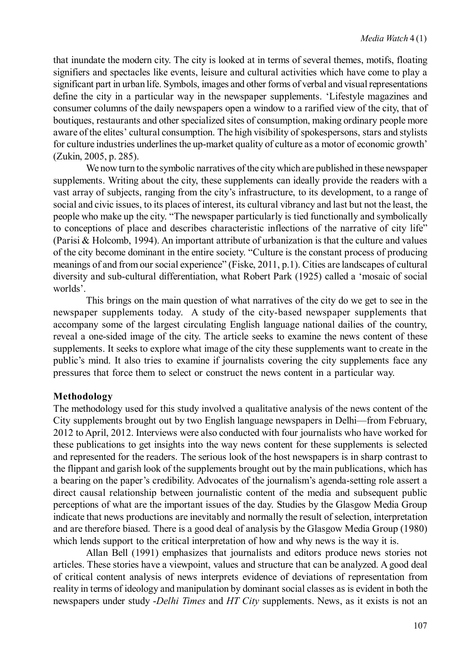that inundate the modern city. The city is looked at in terms of several themes, motifs, floating signifiers and spectacles like events, leisure and cultural activities which have come to play a significant part in urban life. Symbols, images and other forms of verbal and visual representations define the city in a particular way in the newspaper supplements. 'Lifestyle magazines and consumer columns of the daily newspapers open a window to a rarified view of the city, that of boutiques, restaurants and other specialized sites of consumption, making ordinary people more aware of the elites' cultural consumption. The high visibility of spokespersons, stars and stylists for culture industries underlines the up-market quality of culture as a motor of economic growth' (Zukin, 2005, p. 285).

We now turn to the symbolic narratives of the city which are published in these newspaper supplements. Writing about the city, these supplements can ideally provide the readers with a vast array of subjects, ranging from the city's infrastructure, to its development, to a range of social and civic issues, to its places of interest, its cultural vibrancy and last but not the least, the people who make up the city. "The newspaper particularly is tied functionally and symbolically to conceptions of place and describes characteristic inflections of the narrative of city life" (Parisi & Holcomb, 1994). An important attribute of urbanization is that the culture and values of the city become dominant in the entire society. "Culture is the constant process of producing meanings of and from our social experience" (Fiske, 2011, p.1). Cities are landscapes of cultural diversity and sub-cultural differentiation, what Robert Park (1925) called a 'mosaic of social worlds'.

This brings on the main question of what narratives of the city do we get to see in the newspaper supplements today. A study of the city-based newspaper supplements that accompany some of the largest circulating English language national dailies of the country, reveal a one-sided image of the city. The article seeks to examine the news content of these supplements. It seeks to explore what image of the city these supplements want to create in the public's mind. It also tries to examine if journalists covering the city supplements face any pressures that force them to select or construct the news content in a particular way.

#### **Methodology**

The methodology used for this study involved a qualitative analysis of the news content of the City supplements brought out by two English language newspapers in Delhi—from February, 2012 to April, 2012. Interviews were also conducted with four journalists who have worked for these publications to get insights into the way news content for these supplements is selected and represented for the readers. The serious look of the host newspapers is in sharp contrast to the flippant and garish look of the supplements brought out by the main publications, which has a bearing on the paper's credibility. Advocates of the journalism's agenda-setting role assert a direct causal relationship between journalistic content of the media and subsequent public perceptions of what are the important issues of the day. Studies by the Glasgow Media Group indicate that news productions are inevitably and normally the result of selection, interpretation and are therefore biased. There is a good deal of analysis by the Glasgow Media Group (1980) which lends support to the critical interpretation of how and why news is the way it is.

Allan Bell (1991) emphasizes that journalists and editors produce news stories not articles. These stories have a viewpoint, values and structure that can be analyzed. A good deal of critical content analysis of news interprets evidence of deviations of representation from reality in terms of ideology and manipulation by dominant social classes as is evident in both the newspapers under study -*Delhi Times* and *HT City* supplements. News, as it exists is not an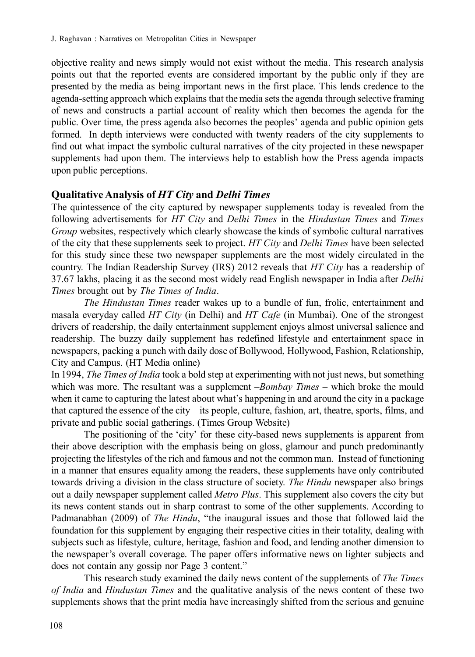objective reality and news simply would not exist without the media. This research analysis points out that the reported events are considered important by the public only if they are presented by the media as being important news in the first place. This lends credence to the agenda-setting approach which explains that the media sets the agenda through selective framing of news and constructs a partial account of reality which then becomes the agenda for the public. Over time, the press agenda also becomes the peoples' agenda and public opinion gets formed. In depth interviews were conducted with twenty readers of the city supplements to find out what impact the symbolic cultural narratives of the city projected in these newspaper supplements had upon them. The interviews help to establish how the Press agenda impacts upon public perceptions.

#### **Qualitative Analysis of** *HT City* **and** *Delhi Times*

The quintessence of the city captured by newspaper supplements today is revealed from the following advertisements for *HT City* and *Delhi Times* in the *Hindustan Times* and *Times Group* websites, respectively which clearly showcase the kinds of symbolic cultural narratives of the city that these supplements seek to project. *HT City* and *Delhi Times* have been selected for this study since these two newspaper supplements are the most widely circulated in the country. The Indian Readership Survey (IRS) 2012 reveals that *HT City* has a readership of 37.67 lakhs, placing it as the second most widely read English newspaper in India after *Delhi Times* brought out by *The Times of India*.

*The Hindustan Times* reader wakes up to a bundle of fun, frolic, entertainment and masala everyday called *HT City* (in Delhi) and *HT Cafe* (in Mumbai). One of the strongest drivers of readership, the daily entertainment supplement enjoys almost universal salience and readership. The buzzy daily supplement has redefined lifestyle and entertainment space in newspapers, packing a punch with daily dose of Bollywood, Hollywood, Fashion, Relationship, City and Campus. (HT Media online)

In 1994, *The Times of India* took a bold step at experimenting with not just news, but something which was more. The resultant was a supplement –*Bombay Times* – which broke the mould when it came to capturing the latest about what's happening in and around the city in a package that captured the essence of the city – its people, culture, fashion, art, theatre, sports, films, and private and public social gatherings. (Times Group Website)

The positioning of the 'city' for these city-based news supplements is apparent from their above description with the emphasis being on gloss, glamour and punch predominantly projecting the lifestyles of the rich and famous and not the common man. Instead of functioning in a manner that ensures equality among the readers, these supplements have only contributed towards driving a division in the class structure of society. *The Hindu* newspaper also brings out a daily newspaper supplement called *Metro Plus*. This supplement also covers the city but its news content stands out in sharp contrast to some of the other supplements. According to Padmanabhan (2009) of *The Hindu*, "the inaugural issues and those that followed laid the foundation for this supplement by engaging their respective cities in their totality, dealing with subjects such as lifestyle, culture, heritage, fashion and food, and lending another dimension to the newspaper's overall coverage. The paper offers informative news on lighter subjects and does not contain any gossip nor Page 3 content."

This research study examined the daily news content of the supplements of *The Times of India* and *Hindustan Times* and the qualitative analysis of the news content of these two supplements shows that the print media have increasingly shifted from the serious and genuine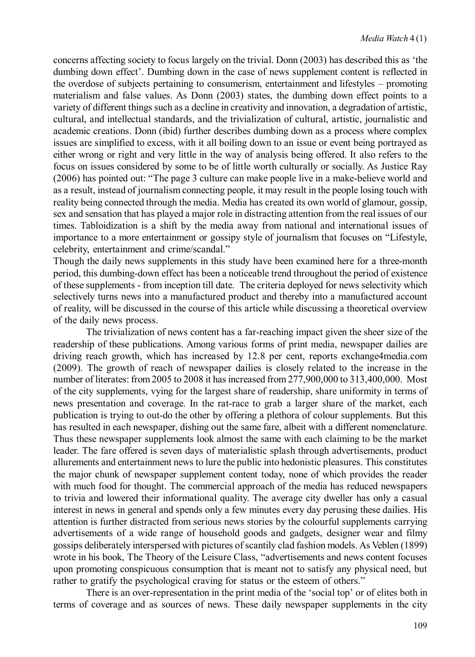concerns affecting society to focus largely on the trivial. Donn (2003) has described this as 'the dumbing down effect'. Dumbing down in the case of news supplement content is reflected in the overdose of subjects pertaining to consumerism, entertainment and lifestyles – promoting materialism and false values. As Donn (2003) states, the dumbing down effect points to a variety of different things such as a decline in creativity and innovation, a degradation of artistic, cultural, and intellectual standards, and the trivialization of cultural, artistic, journalistic and academic creations. Donn (ibid) further describes dumbing down as a process where complex issues are simplified to excess, with it all boiling down to an issue or event being portrayed as either wrong or right and very little in the way of analysis being offered. It also refers to the focus on issues considered by some to be of little worth culturally or socially. As Justice Ray (2006) has pointed out: "The page 3 culture can make people live in a make-believe world and as a result, instead of journalism connecting people, it may result in the people losing touch with reality being connected through the media. Media has created its own world of glamour, gossip, sex and sensation that has played a major role in distracting attention from the real issues of our times. Tabloidization is a shift by the media away from national and international issues of importance to a more entertainment or gossipy style of journalism that focuses on "Lifestyle, celebrity, entertainment and crime/scandal."

Though the daily news supplements in this study have been examined here for a three-month period, this dumbing-down effect has been a noticeable trend throughout the period of existence of these supplements - from inception till date. The criteria deployed for news selectivity which selectively turns news into a manufactured product and thereby into a manufactured account of reality, will be discussed in the course of this article while discussing a theoretical overview of the daily news process.

The trivialization of news content has a far-reaching impact given the sheer size of the readership of these publications. Among various forms of print media, newspaper dailies are driving reach growth, which has increased by 12.8 per cent, reports exchange4media.com (2009). The growth of reach of newspaper dailies is closely related to the increase in the number of literates: from 2005 to 2008 it has increased from 277,900,000 to 313,400,000. Most of the city supplements, vying for the largest share of readership, share uniformity in terms of news presentation and coverage. In the rat-race to grab a larger share of the market, each publication is trying to out-do the other by offering a plethora of colour supplements. But this has resulted in each newspaper, dishing out the same fare, albeit with a different nomenclature. Thus these newspaper supplements look almost the same with each claiming to be the market leader. The fare offered is seven days of materialistic splash through advertisements, product allurements and entertainment news to lure the public into hedonistic pleasures. This constitutes the major chunk of newspaper supplement content today, none of which provides the reader with much food for thought. The commercial approach of the media has reduced newspapers to trivia and lowered their informational quality. The average city dweller has only a casual interest in news in general and spends only a few minutes every day perusing these dailies. His attention is further distracted from serious news stories by the colourful supplements carrying advertisements of a wide range of household goods and gadgets, designer wear and filmy gossips deliberately interspersed with pictures of scantily clad fashion models. As Veblen (1899) wrote in his book, The Theory of the Leisure Class, "advertisements and news content focuses upon promoting conspicuous consumption that is meant not to satisfy any physical need, but rather to gratify the psychological craving for status or the esteem of others."

There is an over-representation in the print media of the 'social top' or of elites both in terms of coverage and as sources of news. These daily newspaper supplements in the city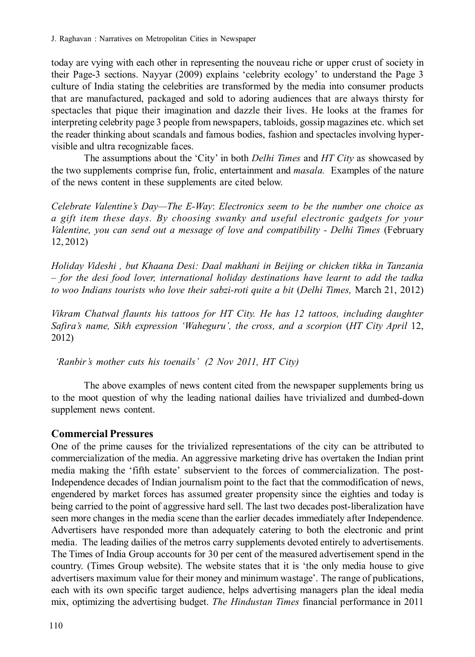today are vying with each other in representing the nouveau riche or upper crust of society in their Page-3 sections. Nayyar (2009) explains 'celebrity ecology' to understand the Page 3 culture of India stating the celebrities are transformed by the media into consumer products that are manufactured, packaged and sold to adoring audiences that are always thirsty for spectacles that pique their imagination and dazzle their lives. He looks at the frames for interpreting celebrity page 3 people from newspapers, tabloids, gossip magazines etc. which set the reader thinking about scandals and famous bodies, fashion and spectacles involving hypervisible and ultra recognizable faces.

The assumptions about the 'City' in both *Delhi Times* and *HT City* as showcased by the two supplements comprise fun, frolic, entertainment and *masala.* Examples of the nature of the news content in these supplements are cited below.

*Celebrate Valentine's Day—The E-Way*: *Electronics seem to be the number one choice as a gift item these days. By choosing swanky and useful electronic gadgets for your* Valentine, you can send out a message of love and compatibility - Delhi Times (February 12, 2012)

*Holiday Videshi , but Khaana Desi: Daal makhani in Beijing or chicken tikka in Tanzania – for the desi food lover, international holiday destinations have learnt to add the tadka to woo Indians tourists who love their sabzi-roti quite a bit* (*Delhi Times,* March 21, 2012)

*Vikram Chatwal flaunts his tattoos for HT City. He has 12 tattoos, including daughter Safira's name, Sikh expression 'Waheguru', the cross, and a scorpion* (*HT City April* 12, 2012)

 *'Ranbir's mother cuts his toenails' (2 Nov 2011, HT City)*

The above examples of news content cited from the newspaper supplements bring us to the moot question of why the leading national dailies have trivialized and dumbed-down supplement news content.

## **Commercial Pressures**

One of the prime causes for the trivialized representations of the city can be attributed to commercialization of the media. An aggressive marketing drive has overtaken the Indian print media making the 'fifth estate' subservient to the forces of commercialization. The post-Independence decades of Indian journalism point to the fact that the commodification of news, engendered by market forces has assumed greater propensity since the eighties and today is being carried to the point of aggressive hard sell. The last two decades post-liberalization have seen more changes in the media scene than the earlier decades immediately after Independence. Advertisers have responded more than adequately catering to both the electronic and print media. The leading dailies of the metros carry supplements devoted entirely to advertisements. The Times of India Group accounts for 30 per cent of the measured advertisement spend in the country. (Times Group website). The website states that it is 'the only media house to give advertisers maximum value for their money and minimum wastage'. The range of publications, each with its own specific target audience, helps advertising managers plan the ideal media mix, optimizing the advertising budget. *The Hindustan Times* financial performance in 2011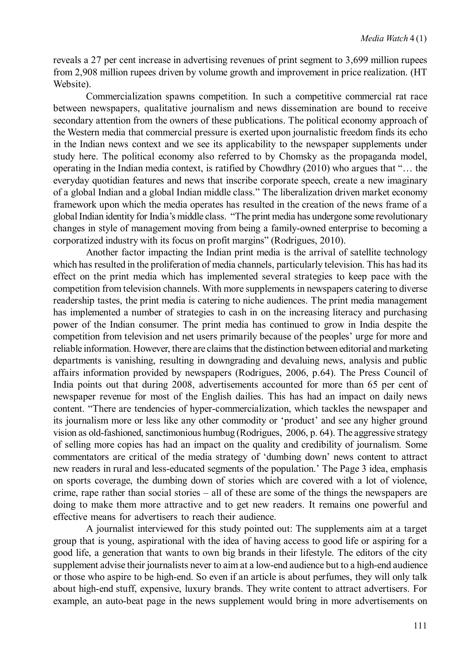reveals a 27 per cent increase in advertising revenues of print segment to 3,699 million rupees from 2,908 million rupees driven by volume growth and improvement in price realization. (HT Website).

Commercialization spawns competition. In such a competitive commercial rat race between newspapers, qualitative journalism and news dissemination are bound to receive secondary attention from the owners of these publications. The political economy approach of the Western media that commercial pressure is exerted upon journalistic freedom finds its echo in the Indian news context and we see its applicability to the newspaper supplements under study here. The political economy also referred to by Chomsky as the propaganda model, operating in the Indian media context, is ratified by Chowdhry (2010) who argues that "… the everyday quotidian features and news that inscribe corporate speech, create a new imaginary of a global Indian and a global Indian middle class." The liberalization driven market economy framework upon which the media operates has resulted in the creation of the news frame of a global Indian identity for India's middle class. "The print media has undergone some revolutionary changes in style of management moving from being a family-owned enterprise to becoming a corporatized industry with its focus on profit margins" (Rodrigues, 2010).

Another factor impacting the Indian print media is the arrival of satellite technology which has resulted in the proliferation of media channels, particularly television. This has had its effect on the print media which has implemented several strategies to keep pace with the competition from television channels. With more supplements in newspapers catering to diverse readership tastes, the print media is catering to niche audiences. The print media management has implemented a number of strategies to cash in on the increasing literacy and purchasing power of the Indian consumer. The print media has continued to grow in India despite the competition from television and net users primarily because of the peoples' urge for more and reliable information. However, there are claims that the distinction between editorial and marketing departments is vanishing, resulting in downgrading and devaluing news, analysis and public affairs information provided by newspapers (Rodrigues, 2006, p.64). The Press Council of India points out that during 2008, advertisements accounted for more than 65 per cent of newspaper revenue for most of the English dailies. This has had an impact on daily news content. "There are tendencies of hyper-commercialization, which tackles the newspaper and its journalism more or less like any other commodity or 'product' and see any higher ground vision as old-fashioned, sanctimonious humbug (Rodrigues, 2006, p. 64). The aggressive strategy of selling more copies has had an impact on the quality and credibility of journalism. Some commentators are critical of the media strategy of 'dumbing down' news content to attract new readers in rural and less-educated segments of the population.' The Page 3 idea, emphasis on sports coverage, the dumbing down of stories which are covered with a lot of violence, crime, rape rather than social stories – all of these are some of the things the newspapers are doing to make them more attractive and to get new readers. It remains one powerful and effective means for advertisers to reach their audience.

A journalist interviewed for this study pointed out: The supplements aim at a target group that is young, aspirational with the idea of having access to good life or aspiring for a good life, a generation that wants to own big brands in their lifestyle. The editors of the city supplement advise their journalists never to aim at a low-end audience but to a high-end audience or those who aspire to be high-end. So even if an article is about perfumes, they will only talk about high-end stuff, expensive, luxury brands. They write content to attract advertisers. For example, an auto-beat page in the news supplement would bring in more advertisements on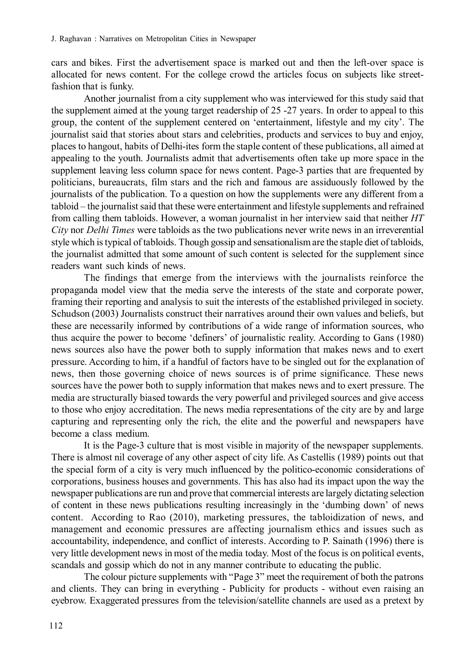cars and bikes. First the advertisement space is marked out and then the left-over space is allocated for news content. For the college crowd the articles focus on subjects like streetfashion that is funky.

Another journalist from a city supplement who was interviewed for this study said that the supplement aimed at the young target readership of 25 -27 years. In order to appeal to this group, the content of the supplement centered on 'entertainment, lifestyle and my city'. The journalist said that stories about stars and celebrities, products and services to buy and enjoy, places to hangout, habits of Delhi-ites form the staple content of these publications, all aimed at appealing to the youth. Journalists admit that advertisements often take up more space in the supplement leaving less column space for news content. Page-3 parties that are frequented by politicians, bureaucrats, film stars and the rich and famous are assiduously followed by the journalists of the publication. To a question on how the supplements were any different from a tabloid – the journalist said that these were entertainment and lifestyle supplements and refrained from calling them tabloids. However, a woman journalist in her interview said that neither *HT City* nor *Delhi Times* were tabloids as the two publications never write news in an irreverential style which is typical of tabloids. Though gossip and sensationalism are the staple diet of tabloids, the journalist admitted that some amount of such content is selected for the supplement since readers want such kinds of news.

The findings that emerge from the interviews with the journalists reinforce the propaganda model view that the media serve the interests of the state and corporate power, framing their reporting and analysis to suit the interests of the established privileged in society. Schudson (2003) Journalists construct their narratives around their own values and beliefs, but these are necessarily informed by contributions of a wide range of information sources, who thus acquire the power to become 'definers' of journalistic reality. According to Gans (1980) news sources also have the power both to supply information that makes news and to exert pressure. According to him, if a handful of factors have to be singled out for the explanation of news, then those governing choice of news sources is of prime significance. These news sources have the power both to supply information that makes news and to exert pressure. The media are structurally biased towards the very powerful and privileged sources and give access to those who enjoy accreditation. The news media representations of the city are by and large capturing and representing only the rich, the elite and the powerful and newspapers have become a class medium.

It is the Page-3 culture that is most visible in majority of the newspaper supplements. There is almost nil coverage of any other aspect of city life. As Castellis (1989) points out that the special form of a city is very much influenced by the politico-economic considerations of corporations, business houses and governments. This has also had its impact upon the way the newspaper publications are run and prove that commercial interests are largely dictating selection of content in these news publications resulting increasingly in the 'dumbing down' of news content. According to Rao (2010), marketing pressures, the tabloidization of news, and management and economic pressures are affecting journalism ethics and issues such as accountability, independence, and conflict of interests. According to P. Sainath (1996) there is very little development news in most of the media today. Most of the focus is on political events, scandals and gossip which do not in any manner contribute to educating the public.

The colour picture supplements with "Page 3" meet the requirement of both the patrons and clients. They can bring in everything - Publicity for products - without even raising an eyebrow. Exaggerated pressures from the television/satellite channels are used as a pretext by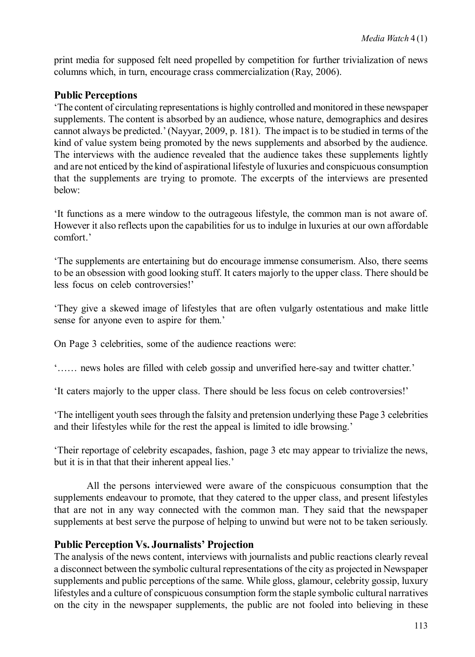print media for supposed felt need propelled by competition for further trivialization of news columns which, in turn, encourage crass commercialization (Ray, 2006).

## **Public Perceptions**

'The content of circulating representations is highly controlled and monitored in these newspaper supplements. The content is absorbed by an audience, whose nature, demographics and desires cannot always be predicted.' (Nayyar, 2009, p. 181). The impact is to be studied in terms of the kind of value system being promoted by the news supplements and absorbed by the audience. The interviews with the audience revealed that the audience takes these supplements lightly and are not enticed by the kind of aspirational lifestyle of luxuries and conspicuous consumption that the supplements are trying to promote. The excerpts of the interviews are presented below:

'It functions as a mere window to the outrageous lifestyle, the common man is not aware of. However it also reflects upon the capabilities for us to indulge in luxuries at our own affordable comfort.'

'The supplements are entertaining but do encourage immense consumerism. Also, there seems to be an obsession with good looking stuff. It caters majorly to the upper class. There should be less focus on celeb controversies!'

'They give a skewed image of lifestyles that are often vulgarly ostentatious and make little sense for anyone even to aspire for them.'

On Page 3 celebrities, some of the audience reactions were:

'…… news holes are filled with celeb gossip and unverified here-say and twitter chatter.'

'It caters majorly to the upper class. There should be less focus on celeb controversies!'

'The intelligent youth sees through the falsity and pretension underlying these Page 3 celebrities and their lifestyles while for the rest the appeal is limited to idle browsing.'

'Their reportage of celebrity escapades, fashion, page 3 etc may appear to trivialize the news, but it is in that that their inherent appeal lies.'

All the persons interviewed were aware of the conspicuous consumption that the supplements endeavour to promote, that they catered to the upper class, and present lifestyles that are not in any way connected with the common man. They said that the newspaper supplements at best serve the purpose of helping to unwind but were not to be taken seriously.

#### **Public Perception Vs. Journalists' Projection**

The analysis of the news content, interviews with journalists and public reactions clearly reveal a disconnect between the symbolic cultural representations of the city as projected in Newspaper supplements and public perceptions of the same. While gloss, glamour, celebrity gossip, luxury lifestyles and a culture of conspicuous consumption form the staple symbolic cultural narratives on the city in the newspaper supplements, the public are not fooled into believing in these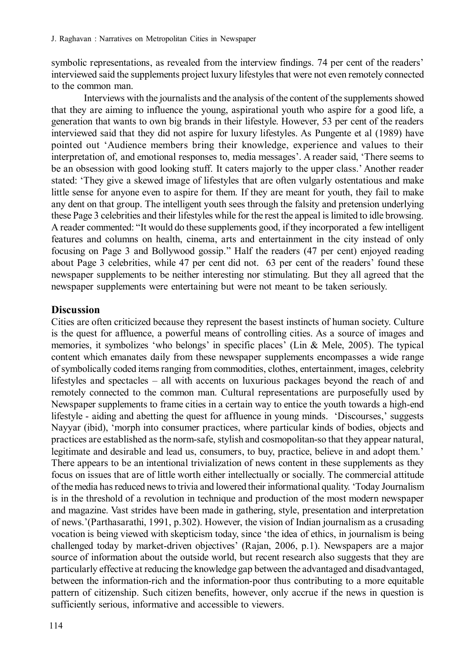symbolic representations, as revealed from the interview findings. 74 per cent of the readers' interviewed said the supplements project luxury lifestyles that were not even remotely connected to the common man.

Interviews with the journalists and the analysis of the content of the supplements showed that they are aiming to influence the young, aspirational youth who aspire for a good life, a generation that wants to own big brands in their lifestyle. However, 53 per cent of the readers interviewed said that they did not aspire for luxury lifestyles. As Pungente et al (1989) have pointed out 'Audience members bring their knowledge, experience and values to their interpretation of, and emotional responses to, media messages'. A reader said, 'There seems to be an obsession with good looking stuff. It caters majorly to the upper class.' Another reader stated: 'They give a skewed image of lifestyles that are often vulgarly ostentatious and make little sense for anyone even to aspire for them. If they are meant for youth, they fail to make any dent on that group. The intelligent youth sees through the falsity and pretension underlying these Page 3 celebrities and their lifestyles while for the rest the appeal is limited to idle browsing. A reader commented: "It would do these supplements good, if they incorporated a few intelligent features and columns on health, cinema, arts and entertainment in the city instead of only focusing on Page 3 and Bollywood gossip." Half the readers (47 per cent) enjoyed reading about Page 3 celebrities, while 47 per cent did not. 63 per cent of the readers' found these newspaper supplements to be neither interesting nor stimulating. But they all agreed that the newspaper supplements were entertaining but were not meant to be taken seriously.

### **Discussion**

Cities are often criticized because they represent the basest instincts of human society. Culture is the quest for affluence, a powerful means of controlling cities. As a source of images and memories, it symbolizes 'who belongs' in specific places' (Lin  $&$  Mele, 2005). The typical content which emanates daily from these newspaper supplements encompasses a wide range of symbolically coded items ranging from commodities, clothes, entertainment, images, celebrity lifestyles and spectacles – all with accents on luxurious packages beyond the reach of and remotely connected to the common man. Cultural representations are purposefully used by Newspaper supplements to frame cities in a certain way to entice the youth towards a high-end lifestyle - aiding and abetting the quest for affluence in young minds. 'Discourses,' suggests Nayyar (ibid), 'morph into consumer practices, where particular kinds of bodies, objects and practices are established as the norm-safe, stylish and cosmopolitan-so that they appear natural, legitimate and desirable and lead us, consumers, to buy, practice, believe in and adopt them.' There appears to be an intentional trivialization of news content in these supplements as they focus on issues that are of little worth either intellectually or socially. The commercial attitude of the media has reduced news to trivia and lowered their informational quality. 'Today Journalism is in the threshold of a revolution in technique and production of the most modern newspaper and magazine. Vast strides have been made in gathering, style, presentation and interpretation of news.'(Parthasarathi, 1991, p.302). However, the vision of Indian journalism as a crusading vocation is being viewed with skepticism today, since 'the idea of ethics, in journalism is being challenged today by market-driven objectives' (Rajan, 2006, p.1). Newspapers are a major source of information about the outside world, but recent research also suggests that they are particularly effective at reducing the knowledge gap between the advantaged and disadvantaged, between the information-rich and the information-poor thus contributing to a more equitable pattern of citizenship. Such citizen benefits, however, only accrue if the news in question is sufficiently serious, informative and accessible to viewers.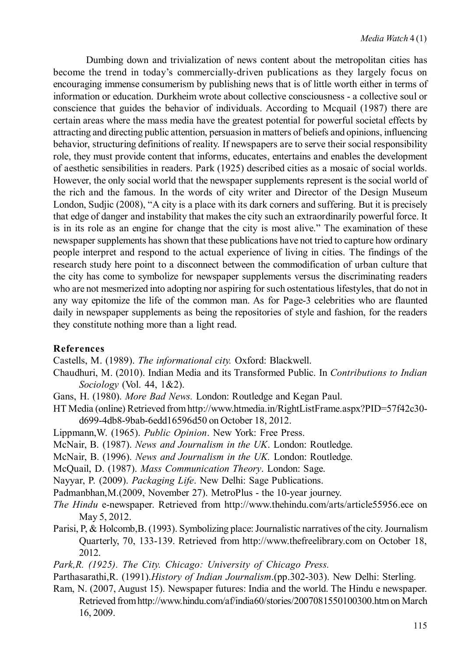Dumbing down and trivialization of news content about the metropolitan cities has become the trend in today's commercially-driven publications as they largely focus on encouraging immense consumerism by publishing news that is of little worth either in terms of information or education. Durkheim wrote about collective consciousness - a collective soul or conscience that guides the behavior of individuals. According to Mcquail (1987) there are certain areas where the mass media have the greatest potential for powerful societal effects by attracting and directing public attention, persuasion in matters of beliefs and opinions, influencing behavior, structuring definitions of reality. If newspapers are to serve their social responsibility role, they must provide content that informs, educates, entertains and enables the development of aesthetic sensibilities in readers. Park (1925) described cities as a mosaic of social worlds. However, the only social world that the newspaper supplements represent is the social world of the rich and the famous. In the words of city writer and Director of the Design Museum London, Sudjic (2008), "A city is a place with its dark corners and suffering. But it is precisely that edge of danger and instability that makes the city such an extraordinarily powerful force. It is in its role as an engine for change that the city is most alive." The examination of these newspaper supplements has shown that these publications have not tried to capture how ordinary people interpret and respond to the actual experience of living in cities. The findings of the research study here point to a disconnect between the commodification of urban culture that the city has come to symbolize for newspaper supplements versus the discriminating readers who are not mesmerized into adopting nor aspiring for such ostentatious lifestyles, that do not in any way epitomize the life of the common man. As for Page-3 celebrities who are flaunted daily in newspaper supplements as being the repositories of style and fashion, for the readers they constitute nothing more than a light read.

#### **References**

Castells, M. (1989). *The informational city.* Oxford: Blackwell.

- Chaudhuri, M. (2010). Indian Media and its Transformed Public. In *Contributions to Indian Sociology* (Vol. 44, 1&2).
- Gans, H. (1980). *More Bad News.* London: Routledge and Kegan Paul.
- HT Media (online) Retrieved from http://www.htmedia.in/RightListFrame.aspx?PID=57f42c30 d699-4db8-9bab-6edd16596d50 on October 18, 2012.
- Lippmann,W. (1965). *Public Opinion*. New York: Free Press.
- McNair, B. (1987). *News and Journalism in the UK*. London: Routledge.
- McNair, B. (1996). *News and Journalism in the UK.* London: Routledge.
- McQuail, D. (1987). *Mass Communication Theory*. London: Sage.
- Nayyar, P. (2009). *Packaging Life*. New Delhi: Sage Publications.
- Padmanbhan,M.(2009, November 27). MetroPlus the 10-year journey.
- *The Hindu* e-newspaper. Retrieved from http://www.thehindu.com/arts/article55956.ece on May 5, 2012.
- Parisi, P, & Holcomb,B. (1993). Symbolizing place: Journalistic narratives of the city. Journalism Quarterly, 70, 133-139. Retrieved from http://www.thefreelibrary.com on October 18, 2012.
- *Park,R. (1925). The City. Chicago: University of Chicago Press.*
- Parthasarathi,R. (1991).*History of Indian Journalism*.(pp.302-303). New Delhi: Sterling.
- Ram, N. (2007, August 15). Newspaper futures: India and the world. The Hindu e newspaper. Retrieved from http://www.hindu.com/af/india60/stories/2007081550100300.htm on March 16, 2009.